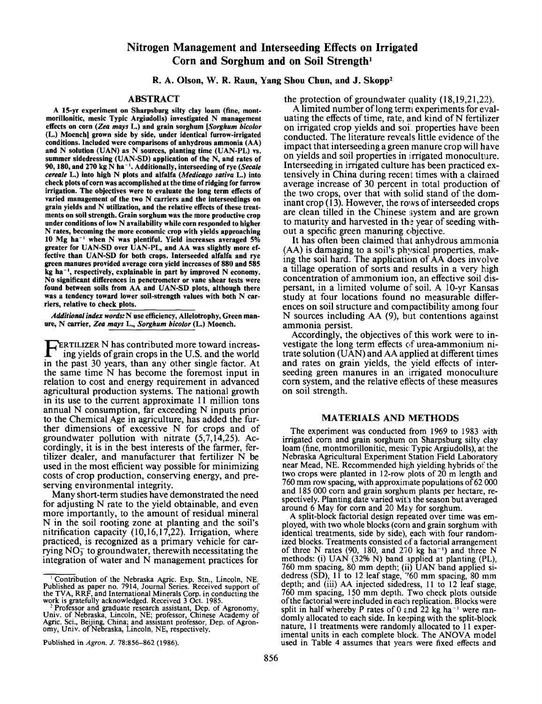# **Nitrogen Management and Interseeding Effects on Irrigated Corn and Sorghum and on Soil Strength'**

## **R. A. Olson, W. R. Raun, Yang Shou Chun, and J. Skopp<sup>2</sup>**

## **ABSTRACT**

**A 15-yr experiment on Sharpsburg silty clay loam (fine, montmorillonitic, mesic Typic Argiudolls) investigated N management effects on corn** *(Zea mays* **L.) and grain sorghum** *[Sorghum bicolor*  **(L.) Moench] grown side by side, under identical furrow-irrigated conditions. Included were comparisons of anhydrous ammonia (AA) and N solution (UAN) as N sources, planting time (UAN-PL) vs. summer sidedressing (UAN-SD) application of the N, and rates of 90,180, and 270 kg N ha-'. Additionally, interseeding of rye** *(Secale cereale* **L.) into high N plots and alfalfa** *(Medicago sativa* **L.) into check plots of corn was accomplished at the time of ridging for furrow irrigation. The objectives were to evaluate the long term effects of varied management of the two N carriers and the interseedings on grain yields and N utilization, and the relative effects of these treatments on soil strength. Grain sorghum was the more productive crop under conditions of low N availability while corn responded to higher N rates, becoming the more economic crop with yields approaching 10 Mg ha-l when N was plentiful. Yield increases averaged 5% greater for UAN-SD over UAN-PL, and AA was slightly more effective than UAN-SD for both crops. Interseeded alfalfa and rye green manures provided average corn yield increases of 880 and 585 kg ha<sup>-1</sup>, respectively, explainable in part by improved N economy.**<br>No significant differences in penetrometer or vane shear tests were found between soils from AA and UAN-SD plots, although there was a tendency toward lower soil-strength values with both N car**riers, relative to check plots.** 

*Additional index words:* **N use efficiency, Allelotrophy, Green manure, N carrier,** *Zea mays* **L.,** *Sorghum bicolor* **(L.) Moench.** 

**REATILIZER N** has contributed more toward increas-<br>ing yields of grain crops in the U.S. and the world in the past **30** years, than any other single factor. At the same time N has become the foremost input in relation to cost and energy requirement in advanced agricultural production systems. The national growth in its use to the current approximate 11 million tons annual N consumption, far exceeding N inputs prior to the Chemical Age in agriculture, has added the further dimensions of excessive N for crops and of groundwater pollution with nitrate  $(5,7,14,25)$ . Accordingly, it is in the best interests of the farmer, fertilizer dealer, and manufacturer that fertilizer N be used in the most efficient way possible for minimizing costs of crop production, conserving energy, and preserving environmental integrity.

Many short-term studies have demonstrated the need for adjusting N rate to the yield obtainable, and even more importantly, to the amount of residual mineral N in the soil rooting zone at planting and the soil's nitrification capacity  $(10,16,17,22)$ . Irrigation, where practiced, is recognized as a primary vehicle for carrying  $NO<sub>3</sub><sup>-</sup>$  to groundwater, therewith necessitating the integration of water and N management practices for the protection of groundwater quality  $(18,19,21,22)$ .

A limited number of long term experiments for evaluating the effects of time, rate, and  $\hat{k}$  and  $\hat{\theta}$  N fertilizer on irrigated crop yields and soi properties have been conducted. The literature reveals little evidence of the impact that interseeding a green manure crop will have on yields and soil properties in irrigated monoculture. Interseeding in irrigated culture has been practiced extensively in China during recent times with a claimed average increase of 30 percent in total production of the two crops, over that with solid stand of the dominant crop  $(13)$ . However, the rows of interseeded crops are clean tilled in the Chinese system and are grown to maturity and harvested in the year of seeding without a specific green manuring objective.

It has often been claimed that anhydrous ammonia (AA) is damaging to a soil's physical properties, making the soil hard. The application of AA does involve a tillage operation of sorts and results in a very high concentration of ammonium ion, an effective soil dispersant, in a limited volume of soil. A 10-yr Kansas study at four locations found no measurable diiferences on soil structure and compactibility among four N sources including AA (9), but contentions against ammonia persist.

Accordingly, the objectives of this work were to investigate the long term effects of urea-ammonium nitrate solution (UAN) and AA applied at different times and rates on grain yields, the yield effects of interseeding green manures in an irrigated monoculture corn system, and the relative eflects of these measures on soil strength.

### **MATERIALS ANI) METHODS**

The experiment was conducted from 1969 to 1983 with irrigated corn and grain sorghum on Sharpsburg silty clay loam (fine, montmorillonitic, mesic Typic Argiudolls), at the Nebraska Agricultural Experiment Station Field Laboratory near Mead, NE. Recommended high yielding hybrids of the two crops were planted in 12-row plots of 20 m length and 760 mm row spacing, with approximate populations of 62 000 and 185 000 corn and grain sorghum plants per hectare, respectively. Planting date varied with the season but averaged around 6 May for corn and 20 May for sorghum.

A split-block factorial design repeated over time was employed, with two whole blocks (corn and grain sorghum with identical treatments, side by side), each with four randomized blocks. Treatments consisted of a factorial arrangement of three N rates (90, 180, and 270 kg ha<sup>-1</sup>) and three N methods: (i) UAN (32% N) band ipplied at planting (PL), 760 mm spacing, 80 mm depth; (ii) UAN band applied sidedress (SD),  $11$  to 12 leaf stage,  $\frac{760}{10}$  mm spacing, 80 mm depth; and (iii) **AA** injected sidedress, 11 to 12 leaf slage, 760 mm spacing, 150 mm depth. Two check plots outside of the factorial were included in each replication. Blocks were split in half whereby P rates of  $0 \in \mathbb{R}$  and  $22$  kg ha<sup>-1</sup> were randomly allocated to each side. In keeping with the split-block nature, 11 treatments were randomly allocated to 11 experimental units in each complete block. The ANOVA model used in Table **4** assumes that years were fixed effects and

I **Contribution of the Nebraska Agric.** Exp. **Stn., Lincoln,** NE. **Published as paper no.** *1914,* **Journal Series. Received support of the TVA, RRF, and International Minerals** Corp. **in conducting the wqrk is gratefully acknowledged. Received 3 Oct. 1985.** 

<sup>-</sup> **Professor and graduate research assistant, Dep. of Agronomy, Univ. of Nebraska, Lincoln,** NE **professor, Chinese Academy of Agric. Sci., Beijing, China; and assistant professor, Dep. of Agronomy, Univ. of Nebraska, Lincoln, NE, respectively.** 

**Published** in *Agron. J.* **78:856-862 (1986).**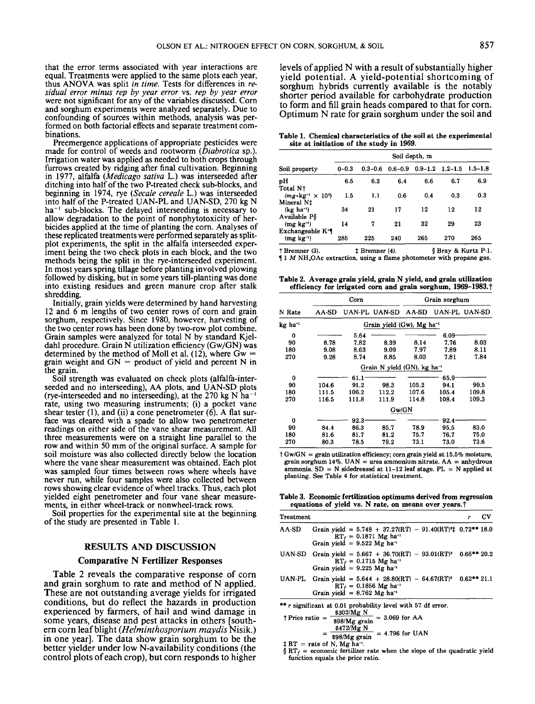that the error terms associated with year interactions are equal. Treatments were applied to the same plots each year, thus ANOVA was split *in time.* Tests for differences in *residual error minus rep by year error* vs. *rep by year error*  were not significant for any of the variables discussed. Corn and sorghum experiments were analyzed separately. Due to confounding of sources within methods, analysis was performed on both factorial effects and separate treatment combinations.

Preemergence applications of appropriate pesticides were made for control of weeds and rootworm *(Diabrotica* sp.). Irrigation water was applied as needed to both crops through furrows created by ridging after final cultivation. Beginning in 1977, alfalfa *(Medicago sativa* L.) was interseeded after ditching into half of the two P-treated check sub-blocks, and beginning in 1974, rye *(Secale cereale* L.) was interseeded into half of the P-treated UAN-PL and UAN-SD, 270 kg N ha<sup>-1</sup> sub-blocks. The delayed interseeding is necessary to allow degradation to the point of nonphytotoxicity of herbicides applied at the time of planting the corn. Analyses of these replicated treatments were performed separately as splitplot experiments, the split in the alfalfa interseeded experiment being the two check plots in each block, and the two methods being the split in the rye-interseeded experiment. In most years spring tillage before planting involved plowing followed by disking, but in some years till-planting was done into existing residues and green manure crop after stalk shredding.

Initially, grain yields were determined by hand harvesting 12 and 6 m lengths of two center rows of corn and grain sorghum, respectively. Since 1980, however, harvesting of the two center rows has been done by two-row plot combine. Grain samples were analyzed for total N by standard Kjeldah1 procedure. Grain N utilization efficiency (Gw/GN) was determined by the method of Moll et al. (12), where  $Gw =$ grain weight and  $GN =$  product of yield and percent N in the grain.

Soil strength was evaluated on check plots (alfalfa-interseeded and no interseeding), AA plots, and UAN-SD plots (rye-interseeded and no interseeding), at the 270 kg N  $^{\circ}$ ha<sup>-</sup> rate, using two measuring instruments; (i) a pocket vane shear tester (l), and (ii) a cone penetrometer *(6).* A flat surface was cleared with a spade to allow two penetrometer readings on either side of the vane shear measurement. All three measurements were on a straight line parallel to the row and within 50 mm of the original surface. A sample for soil moisture was also collected directly below the location where the vane shear measurement was obtained. Each plot was sampled four times between rows where wheels have never run, while four samples were also collected between rows showing clear evidence of wheel tracks. Thus, each plot yielded eight penetrometer and four vane shear measurements, in either wheel-track or nonwheel-track rows.

Soil properties for the experimental site at the beginning of the study are presented in Table 1.

#### **RESULTS AND DISCUSSION**

#### **Comparative N Fertilizer Responses**

Table 2 reveals the comparative response of corn and grain sorghum to rate and method of N applied. These are not outstanding average yields for irrigated conditions, but do reflect the hazards in production experienced by farmers, of hail and wind damage in some years, disease and pest attacks in others [southem corn leaf blight *(Helrninthosporiurn rnaydis* Nisik.) in one year]. The data show grain sorghum to be the better yielder under low N-availability conditions (the control plots of each crop), but corn responds to higher levels of applied N with a result of substantially higher yield potential. **A** yield-potential shortcoming of sorghum hybrids currently available is the notably shorter period available for carbohydrate production to form and fill grain heads compared to that for corn. Optimum N rate for grain sorghum under the soil and

**Table 1. Chemical characteristics of the soil at the experimental site at initiation of the study in 1969.** 

|                                                            | Soil depth, m |             |     |                                     |     |             |  |
|------------------------------------------------------------|---------------|-------------|-----|-------------------------------------|-----|-------------|--|
| Soil property                                              | $0 - 0.3$     | $0.3 - 0.6$ |     | $0.6 - 0.9$ $0.9 - 1.2$ $1.2 - 1.5$ |     | $1.5 - 1.8$ |  |
| pН<br>Total N <sub>†</sub>                                 | 6.5           | 6.3         | 6.4 | 6.6                                 | 6.7 | 6.9         |  |
| $(mg \cdot kg^{-1} \times 10^3)$<br>Mineral N <sub>T</sub> | 1.5           | 1.1         | 0.6 | 0.4                                 | 0.3 | 0.3         |  |
| $(kg ha^{-1})$<br>Available P\$                            | 34            | 21          | 17  | 12                                  | 12  | 12          |  |
| $(mg \; kg^{-1})$<br>Exchangeable K <sup>*</sup>           | 14            | 7           | 21  | 32                                  | 29  | 23          |  |
| $(mg kg-1)$                                                | 285           | 225         | 240 | 265                                 | 270 | 265         |  |

**t Bremner (3). 9 Bray** & **Kurtz P-1. 1 1** *M* **NH,OAc extraction, using a flame photometer with propane gas.**  \$ **Bremner (4).** 

**Table 2. Average grain yield, grain N yield, and grain utilization**  efficiency for irrigated corn and grain sorghum, 1969-1983.<sup>†</sup>

|         |       | Corn     |                                          |       | Grain sorghum |               |
|---------|-------|----------|------------------------------------------|-------|---------------|---------------|
| N Rate  | AA-SD |          | UAN-PL UAN-SD                            | AA-SD |               | UAN-PL UAN-SD |
| kg ha ' |       |          | Grain yield $(Gw)$ , Mg ha <sup>-1</sup> |       |               |               |
| 0       |       | 5.64     |                                          |       | 6.09          |               |
| 90      | 8.78  | 7.82     | 8.39                                     | 8.14  | 7.76          | 8.03          |
| 180     | 9.08  | 8.63     | 9.09                                     | 7.97  | 7.89          | 8.11          |
| 270     | 9.28  | 8.74     | 8.85                                     | 8.03  | 7.81          | 7.84          |
|         |       |          | Grain N yield (GN), kg ha <sup>-1</sup>  |       |               |               |
| 0       |       | 61.1     |                                          |       | 65.9          |               |
| 90      | 104.6 | 91.2     | 98.3                                     | 105.2 | 94.1          | 99.5          |
| 180     | 111.5 | 106.2    | 112.2                                    | 107.6 | 105.4         | 109.8         |
| 270     | 116.5 | 111.8    | 111.9                                    | 114.8 | 108.4         | 109.3         |
|         |       |          | Gw/GN                                    |       |               |               |
| 0       |       | $92.3 -$ |                                          |       | $92.4 -$      |               |
| 90      | 84.4  | 86.3     | 85.7                                     | 78.9  | 95.5          | 83.0          |
| 180     | 81.6  | 81.7     | 81.2                                     | 75.7  | 76.7          | 75.0          |
| 270     | 80.3  | 78.5     | 79.2                                     | 73.1  | 73.0          | 73.6          |

**t Gw/GN** = **grain utilization efficiency; corn grain yield at 15.5% moisture, grain sorghum 14%. UAN** = **urea ammonium nitrate. AA** = **anhydrous**  ammonia.  $SD = N$  sidedressed at  $11-12$  leaf stage.  $PL = N$  applied at **planting. See Table 4 for statistical treatment.** 

**Table 3. Economic fertilization optimums derived from regression eauations of vield vs. N rate. on means over vears.t** 

| <b>Treatment</b> |                                                                                                                                                                             | CV |
|------------------|-----------------------------------------------------------------------------------------------------------------------------------------------------------------------------|----|
| AA-SD            | Grain yield = $5.748 + 37.27(RT) - 91.40(RT)^{2}$ 0.72** 18.0<br>$RT_f = 0.1871$ Mg ha <sup>-1</sup><br>Grain yield = 9.522 Mg ha <sup>-1</sup>                             |    |
|                  | UAN-SD Grain yield = $5.667 + 36.70(RT) - 93.01(RT)^2$ 0.66** 20.2<br>$RT_f = 0.1715 \text{ Mg} \text{ ha}^{-1}$<br>Grain yield = 9.225 Mg ha <sup>-1</sup>                 |    |
|                  | UAN-PL Grain yield = $5.644 + 28.80(RT) - 64.67(RT)^2$ 0.62** 21.1<br>$RT_f = 0.1856 \text{ Mg} \text{ ha}^{-1}$<br>Grain yield = 8.762 Mg ha <sup>-1</sup>                 |    |
|                  | ** r significant at 0.01 probability level with 57 df error.<br>$\text{+ Price ratio} = \frac{$302 \text{Mg N}}{$98/\text{Mg grain}]} = 3.069 \text{ for AA}$<br>\$472/Mg N |    |

$$
= \frac{$472 Mg N}{$98/ Mg grain} = 4.796 for UAN
$$

 $\sharp RT =$  **rate of N, Mg ha<sup>-1</sup>.** 

 $\oint R T_f$  = economic fertilizer rate when the slope of the quadratic yield **function equals the price ratio.**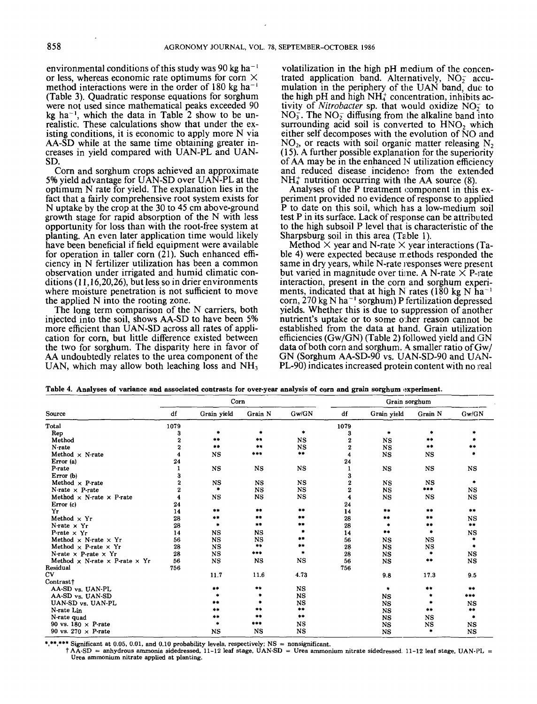environmental conditions of this study was 90 kg ha<sup> $-1$ </sup> or less, whereas economic rate optimums for corn X method interactions were in the order of 180 kg ha-' (Table **3).** Quadratic response equations for sorghum were not used since mathematical peaks exceeded 90 kg ha<sup>-1</sup>, which the data in Table  $\overline{2}$  show to be unrealistic. These calculations show that under the existing conditions, it is economic to apply more N via AA-SD while at the same time obtaining greater increases in yield compared with UAN-PL and UAN-SD.

Corn and sorghum crops achieved an approximate 5% yield advantage for UAN-SD over UAN-PL at the optimum N rate for yield. The explanation lies in the fact that a fairly comprehensive root system exists for N uptake by the crop at the **30** to **45** cm above-ground growth stage for rapid absorption of the N with less opportunity for loss than with the root-free system at planting. An even later application time would likely have been beneficial if field equipment were available for operation in taller corn  $(21)$ . Such enhanced efficiency in N fertilizer utilization has been a common observation under irrigated and humid climatic conditions **(1 1,16,20,26),** but less so in drier environments where moisture penetration is not sufficient to move the applied N into the rooting zone.

The long term comparison of the N carriers, both injected into the soil, shows AA-SD to have been 5% more efficient than UAN-SD across all rates of application for corn, but little difference existed between the two for sorghum. The disparity here in favor of AA undoubtedly relates to the urea component of the UAN, which may allow both leaching loss and  $NH<sub>3</sub>$ 

volatilization in the high pH medium of the concentrated application band. Alternatively,  $NO<sub>2</sub>$  accumulation in the periphery of the UAN band, due to the high  $pH$  and high  $NH<sub>2</sub><sup>+</sup>$  concentration, inhibits activity of *Nitrobacter* sp. that would oxidize NO; to  $NO<sub>3</sub>$ . The NO<sub>2</sub> diffusing from the alkaline band into surrounding acid soil is converted to  $HNO<sub>2</sub>$  which either self decomposes with the evolution of  $\overline{N}O$  and  $NO<sub>2</sub>$ , or reacts with soil organic matter releasing  $N<sub>2</sub>$  $(15)$ . A further possible explanation for the superiority of  $AA$  may be in the enhanced  $N$  utilization efficiency and reduced disease incidence from the extended NH: nutrition occurring with the AA source **(8).** 

Analyses of the P treatment component in this experiment provided no evidence of response to applied P to date on this soil, which has a low-medium soil test P in its surface. Lack of response can be attributed to the high subsoil P level that is characteristic of the Sharpsburg soil in this area (Table 1).

Method  $\times$  year and N-rate  $\times$  year interactions (Table 4) were expected because methods responded the same in dry years, while N-rate responses were present but varied in magnitude over time. A N-rate  $\times$  P-rate interaction, present in the corn and sorghum experiments, indicated that at high N rates (180 kg N ha<sup>-</sup> corn,  $270 \text{ kg N} \text{ ha}^{-1}$  sorghum) P fertilization depressed yields. Whether this is due to suppression of another nutrient's uptake or to some o:her reason cannoi be established from the data at hand. Grain utilization efficiencies (Gw/GN) (Table 2) iollowed yield and GN data of both corn and sorghum. **4** smaller ratio of Gw/ GN (Sorghum AA-SD-90 vs. UAN-SD-90 and UkN-PL-90) indicates increased protein content with no real

| UAN, which may allow both leaching loss and $NH3$<br>PL-90) indicates increased protein content with no real<br>Table 4. Analyses of variance and associated contrasts for over-year analysis of corn and grain sorghum experiment. |      |               |                       |               |                     |               |             |                             |
|-------------------------------------------------------------------------------------------------------------------------------------------------------------------------------------------------------------------------------------|------|---------------|-----------------------|---------------|---------------------|---------------|-------------|-----------------------------|
|                                                                                                                                                                                                                                     |      | Corn          |                       |               |                     | Grain sorghum |             |                             |
| Source                                                                                                                                                                                                                              | df   | Grain yield   | Grain N               | Gw/GN         | df                  | Grain vield   | Grain N     | Gw/GN                       |
| Total                                                                                                                                                                                                                               | 1079 |               |                       |               | 1079                |               |             |                             |
| Rep                                                                                                                                                                                                                                 | 3    |               | ۰                     | ٠             | 3                   | ۰             |             |                             |
| Method                                                                                                                                                                                                                              | 2    | $\Rightarrow$ | $+ +$                 | NS            | $\boldsymbol{2}$    | <b>NS</b>     | **          |                             |
| N-rate                                                                                                                                                                                                                              | 2    | **            | $+ +$                 | NS.           | $\boldsymbol{2}$    | <b>NS</b>     | **          | **                          |
| Method $\times$ N-rate                                                                                                                                                                                                              | 4    | <b>NS</b>     | ***                   | **            | $\overline{\bf{4}}$ | <b>NS</b>     | <b>NS</b>   |                             |
| Error (a)                                                                                                                                                                                                                           | 24   |               |                       |               | 24                  |               |             |                             |
| P-rate                                                                                                                                                                                                                              |      | $_{\rm NS}$   | <b>NS</b>             | <b>NS</b>     | 1                   | <b>NS</b>     | $_{\rm NS}$ | NS                          |
| Error (b)                                                                                                                                                                                                                           | 3    |               |                       |               | 3                   |               |             |                             |
| Method $\times$ P-rate                                                                                                                                                                                                              | 2    | <b>NS</b>     | <b>NS</b>             | NS            | $\boldsymbol{2}$    | <b>NS</b>     | <b>NS</b>   | ۰                           |
| N-rate $\times$ P-rate                                                                                                                                                                                                              | 2    |               | NS                    | $_{\rm NS}$   | $\boldsymbol{2}$    | <b>NS</b>     | ***         | <b>NS</b>                   |
| Method $\times$ N-rate $\times$ P-rate                                                                                                                                                                                              |      | <b>NS</b>     | <b>NS</b>             | NS            | 4                   | <b>NS</b>     | <b>NS</b>   | NS                          |
| Error (c)                                                                                                                                                                                                                           | 24   |               |                       |               | 24                  |               |             |                             |
| Yr                                                                                                                                                                                                                                  | 14   | **            | **                    | $***$         | 14                  | $***$         | $***$       | $\rightarrow$ $\rightarrow$ |
| Method $\times$ Yr                                                                                                                                                                                                                  | 28   | **            | **                    | **            | 28                  | **            | **          | <b>NS</b>                   |
| N-rate $\times$ Yr                                                                                                                                                                                                                  | 28   | $\bullet$     | **                    | **            | 28                  | ۰             | **          | $\pm\pm$                    |
| P-rate $\times$ Yr                                                                                                                                                                                                                  | 14   | <b>NS</b>     | <b>NS</b>             |               | 14                  | $***$         | ٠           | <b>NS</b>                   |
| Method $\times$ N-rate $\times$ Yr                                                                                                                                                                                                  | 56   | NS            | <b>NS</b>             | **            | 56                  | $_{\rm NS}$   | NS          | ٠                           |
| Method $\times$ P-rate $\times$ Yr                                                                                                                                                                                                  | 28   | <b>NS</b>     | $\clubsuit\spadesuit$ | $***$         | 28                  | $_{\rm NS}$   | NS          | ۰                           |
| N-rate $\times$ P-rate $\times$ Yr                                                                                                                                                                                                  | 28   | $_{\rm NS}$   | ***                   | $\bullet$     | 28                  | <b>NS</b>     | *           | NS                          |
| Method $\times$ N-rate $\times$ P-rate $\times$ Yr                                                                                                                                                                                  | 56   | NS            | <b>NS</b>             | NS            | 56                  | <b>NS</b>     | **          | NS                          |
| Residual                                                                                                                                                                                                                            | 756  |               |                       |               | 756                 |               |             |                             |
| $\mathbf{C} \mathbf{V}$                                                                                                                                                                                                             |      | 11.7          | 11.6                  | 4.73          |                     | 9.8           | 17.3        | 9.5                         |
| Contrast <sup>†</sup>                                                                                                                                                                                                               |      |               |                       |               |                     |               |             |                             |
| AA-SD vs. UAN-PL                                                                                                                                                                                                                    |      | $***$         | $***$                 | $_{\rm NS}$   |                     | *             | **          | $***$                       |
| AA-SD vs. UAN-SD                                                                                                                                                                                                                    |      |               | ۰                     | NS            |                     | $_{\rm NS}$   | ۰           | ***                         |
| UAN-SD vs. UAN-PL                                                                                                                                                                                                                   |      | **            | ٠                     | NS            |                     | NS            | $\bullet$   | NS                          |
| N-rate Lin                                                                                                                                                                                                                          |      | $\pm\pm$      | **                    | **            |                     | <b>NS</b>     | $***$       | **                          |
| N-rate quad                                                                                                                                                                                                                         |      | **            | $***$                 | $\frac{1}{2}$ |                     | <b>NS</b>     | NS          | ۰                           |
| 90 vs. 180 $\times$ P-rate                                                                                                                                                                                                          |      |               | $***$                 | <b>NS</b>     |                     | <b>NS</b>     | <b>NS</b>   | NS                          |
| 90 vs. 270 $\times$ P-rate                                                                                                                                                                                                          |      | NS            | <b>NS</b>             | NS            |                     | <b>NS</b>     | ٠           | <b>NS</b>                   |

\*\* Significant at 0.05, 0.01, and 0.10 probability levels, respectively; NS = nonsignificant.

t AA-SD = anhydrous ammonia sidedressed. **11-12** leaf stage, UAN-SD = Urea ammonium nitrate sidedressed **11-12** leaf stage, UAN-PL = Urea ammonium nitrate applied at planting.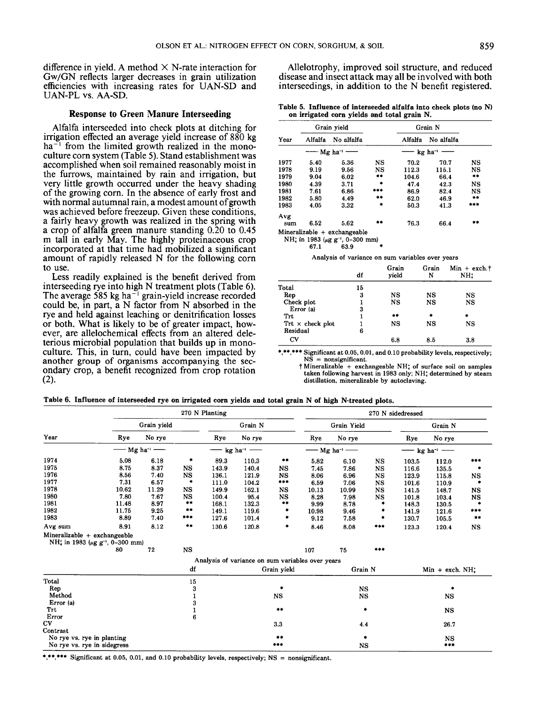difference in yield. A method  $\times$  N-rate interaction for Gw/GN reflects larger decreases in grain utilization efficiencies with increasing rates for UAN-SD and UAN-PL VS. AA-SD.

### **Response to Green Manure Interseeding**

Alfalfa interseeded into check plots at ditching for irrigation effected an average yield increase of 880 kg  $ha^{-1}$  from the limited growth realized in the monoculture corn system (Table **5).** Stand establishment was accomplished when soil remained reasonably moist in the furrows, maintained by rain and irrigation, but very little growth occurred under the heavy shading of the growing corn. In the absence of early frost and with normal autumnal rain, a modest amount of growth was achieved before freezeup. Given these conditions, a fairly heavy growth was realized in the spring with a crop of alfalfa green manure standing 0.20 to **0.45**  m tall in early May. The highly proteinaceous crop incorporated at that time had mobilized a significant amount of rapidly released N for the following corn to use.

Less readily explained is the benefit derived from interseeding rye into high N treatment plots (Table 6). The average 585 kg ha<sup>-1</sup> grain-yield increase recorded could be, in part, a N factor from N absorbed in the rye and held against leaching or denitrification losses or both. What is likely to be of greater impact, however, are allelochemical effects from an altered deleterious microbial population that builds up in monoanother group of organisms accompanying the secondary crop, a benefit recognized from crop rotation **(2).** 

Allelotrophy, improved soil structure, and reduced disease and insect attack may all be involved with both interseedings, in addition to the N benefit registered.

| Table 5. Influence of interseeded alfalfa into check plots (no N) |  |
|-------------------------------------------------------------------|--|
| on irrigated corn yields and total grain N.                       |  |

|      |         | Grain yield                 |                             |         | Grain N    |           |  |
|------|---------|-----------------------------|-----------------------------|---------|------------|-----------|--|
| Year | Alfalfa | No alfalfa                  |                             | Alfalfa | No alfalfa |           |  |
|      |         | $-$ Mg ha <sup>-1</sup> $-$ | $-$ kg ha <sup>-1</sup> $-$ |         |            |           |  |
| 1977 | 5.40    | 5.36                        | NS                          | 70.2    | 70.7       | NS        |  |
| 1978 | 9.19    | 9.56                        | NS                          | 112.3   | 115.1      | NS        |  |
| 1979 | 9.04    | 6.02                        | **                          | 104.6   | 66.4       | **        |  |
| 1980 | 4.39    | 3.71                        | *                           | 47.4    | 42.3       | <b>NS</b> |  |
| 1981 | 7.61    | 6.86                        | ***                         | 86.9    | 82.4       | <b>NS</b> |  |
| 1982 | 5.80    | 4.49                        | **                          | 62.0    | 46.9       | **        |  |
| 1983 | 4.05    | 3.32                        |                             | 50.3    | 41.3       | ***       |  |
| Avg  |         |                             |                             |         |            |           |  |
| sum  | 6.52    | 5.62                        | **                          | 76.3    | 66.4       | **        |  |

NH<sub> $\ddagger$ </sub> in 1983 ( $\mu$ g g<sup>-1</sup>, 0-300 mm)<br>63.9 **67.1 63.9** 

**Analysis of variance on sum variables over years**  *8* 

|                         | df | Grain<br>yield | Grain<br>N | $Min + exch.†$<br>NH: |
|-------------------------|----|----------------|------------|-----------------------|
| Total                   | 15 |                |            |                       |
| Rep                     | 3  | NS             | NS         | NS                    |
| Check plot              |    | NS             | NS         | NS                    |
| Error (a)               | 3  |                |            |                       |
| Trt                     |    | $***$          | ۰          | ۰                     |
| $Trt \times$ check plot |    | NS             | NS         | NS                    |
| Residual                | 6  |                |            |                       |
| CV                      |    | 6.8            | 8.5        | 3.8                   |

\*\*\* Significant at 0.05, 0.01, and 0.10 probability levels, respectively; **NS** = **nonsignificant.** 

**t Mineralizable** + **exchangeable** NH; **of surface** soil **on samples taken following harvest in 1983 only;** NH: **determined by steam distillation, mineralizable by autoclaving.** 

| Table 6. Influence of interseeded rye on irrigated corn yields and total grain N of high N-treated plots. |  |  |  |  |
|-----------------------------------------------------------------------------------------------------------|--|--|--|--|
|-----------------------------------------------------------------------------------------------------------|--|--|--|--|

|                                                                                                              |       | 270 N Planting              |             |         |                                                         |                                               |       | 270 N sidedressed           |             |       |                             |           |
|--------------------------------------------------------------------------------------------------------------|-------|-----------------------------|-------------|---------|---------------------------------------------------------|-----------------------------------------------|-------|-----------------------------|-------------|-------|-----------------------------|-----------|
|                                                                                                              |       | Grain vield                 |             | Grain N |                                                         | Grain Yield                                   |       | Grain N                     |             |       |                             |           |
| Year                                                                                                         | Rye   | No rye                      |             | Rye     | No rye                                                  |                                               | Rye   | No rye                      |             | Rye   | No rye                      |           |
|                                                                                                              |       | $-$ Mg ha <sup>-1</sup> $-$ |             |         | $\longrightarrow$ kg ha <sup>-1</sup> $\longrightarrow$ |                                               |       | $-$ Mg ha <sup>-1</sup> $-$ |             |       | $-$ kg ha <sup>-1</sup> $-$ |           |
| 1974                                                                                                         | 5.08  | 6.18                        | ۰           | 89.3    | 110.3                                                   | $\pm\pm$                                      | 5,82  | 6.10                        | <b>NS</b>   | 103.5 | 112.0                       | ***       |
| 1975                                                                                                         | 8.75  | 8.37                        | <b>NS</b>   | 143.9   | 140.4                                                   | <b>NS</b>                                     | 7.45  | 7.86                        | $_{\rm NS}$ | 116.6 | 135.5                       |           |
| 1976                                                                                                         | 8.56  | 7.40                        | $_{\rm NS}$ | 136.1   | 121.9                                                   | <b>NS</b>                                     | 8.06  | 6.96                        | <b>NS</b>   | 123.9 | 115.8                       | NS        |
| 1977                                                                                                         | 7.31  | 6.57                        | $\bullet$   | 111.0   | 104.2                                                   | ***                                           | 6.59  | 7.06                        | NS          | 101.6 | 110.9                       |           |
| 1978                                                                                                         | 10.62 | 11.29                       | NS          | 149.9   | 162.1                                                   | <b>NS</b>                                     | 10.13 | 10.99                       | <b>NS</b>   | 141.5 | 148.7                       | <b>NS</b> |
| 1980                                                                                                         | 7.80  | 7.67                        | <b>NS</b>   | 100.4   | 95.4                                                    | NS                                            | 8.28  | 7.98                        | <b>NS</b>   | 101.8 | 103.4                       | NS        |
| 1981                                                                                                         | 11.48 | 8.97                        | $***$       | 168.1   | 132.3                                                   | $\begin{array}{c} \bullet\bullet \end{array}$ | 9.99  | 8.78                        | ۰           | 148.3 | 130.5                       |           |
| 1982                                                                                                         | 11.75 | 9.25                        | $***$       | 149.1   | 119.6                                                   | ۰                                             | 10.98 | 9.46                        | ۰           | 141.9 | 121.6                       | ***       |
| 1983                                                                                                         | 8.89  | 7.40                        | ***         | 127.6   | 101.4                                                   | ۰                                             | 9.12  | 7.58                        | ۰           | 130.7 | 105.5                       | 半率        |
| Avg sum                                                                                                      | 8.91  | 8.12                        | $***$       | 130.6   | 120.8                                                   | ۰                                             | 8.46  | 8.08                        | ***         | 123.3 | 120.4                       | <b>NS</b> |
| Mineralizable $+$ exchangeable<br>NH <sub><math>*</math></sub> in 1983 ( $\mu$ g g <sup>-1</sup> , 0-300 mm) |       |                             |             |         |                                                         |                                               |       |                             |             |       |                             |           |
|                                                                                                              | 80    | 72                          | <b>NS</b>   |         |                                                         |                                               | 107   | 75                          | ***         |       |                             |           |
|                                                                                                              |       |                             |             |         | Analysis of variance on sum variables over years        |                                               |       |                             |             |       |                             |           |
|                                                                                                              |       |                             | df          |         |                                                         | Grain yield                                   |       | Grain N                     |             |       | $Min + exch. NH$ ;          |           |
| Total                                                                                                        |       |                             | 15          |         |                                                         |                                               |       |                             |             |       |                             |           |
| Rep                                                                                                          |       |                             | 3           |         |                                                         | $\bullet$                                     |       | NS                          |             |       | ۰                           |           |
| Method                                                                                                       |       |                             |             |         |                                                         | <b>NS</b>                                     |       | <b>NS</b>                   |             |       | <b>NS</b>                   |           |
| Error (a)                                                                                                    |       |                             |             |         |                                                         |                                               |       |                             |             |       |                             |           |
| Trt                                                                                                          |       |                             |             |         |                                                         | $***$                                         |       |                             | ۰           |       | <b>NS</b>                   |           |
| Error                                                                                                        |       |                             | 6           |         |                                                         |                                               |       |                             |             |       |                             |           |
| CV                                                                                                           |       |                             |             |         |                                                         | 3.3                                           |       | 4.4                         |             |       | 26.7                        |           |
| Contrast                                                                                                     |       |                             |             |         |                                                         |                                               |       |                             |             |       |                             |           |
| No rye vs. rye in planting                                                                                   |       |                             |             |         |                                                         | $***$                                         |       |                             | ۰           |       | <b>NS</b>                   |           |
| No rye vs. rye in sidegress                                                                                  |       |                             |             |         |                                                         | ***                                           |       | <b>NS</b>                   |             | 神神学   |                             |           |

\*\*\* Significant at 0.05, 0.01, and 0.10 probability levels, respectively;  $NS =$  nonsignificant.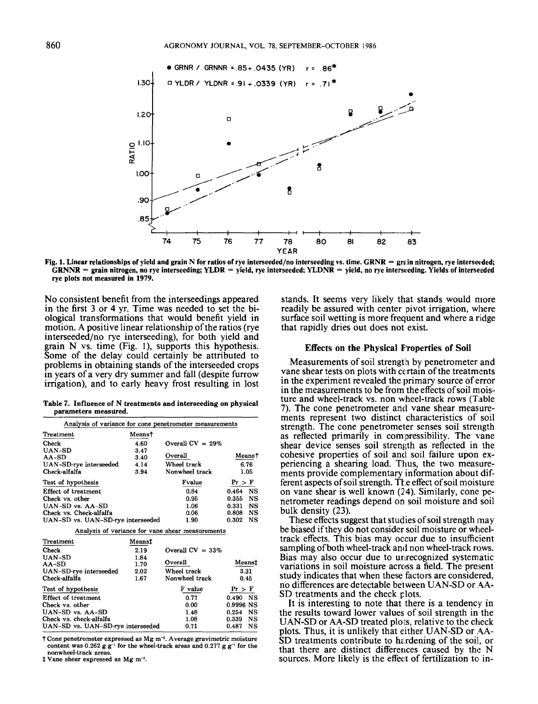

**Fig. 1. Linear relationships of yield and grain N for ratios of rye interseeded/no interseeding vs. time. GRNR** = **grain nitrogen, rye interseeded;**   $GRNIR =$  grain nitrogen, no rye interseeding;  $YLDR =$  yield, rye interseeded;  $YLDNR =$  yield, no rye interseeding. Yields of interseeded **rye plots not measured in 1979.** 

No consistent benefit from the interseedings appeared in the first **3** or **4** yr. Time was needed to set the biological transformations that would benefit yield in motion. **A** positive linear relationship of the ratios (rye interseeded/no rye interseeding), for both yield and grain **N** vs. time (Fig. **l),** supports this hypothesis. Some of the delay could certainly be attributed to problems in obtaining stands of the interseeded crops in years of a very dry summer and fall (despite furrow irrigation), and to early heavy frost resulting in lost

**Table 7. Influence of N treatments and interseeding on physical parameters measlired.** 

| irrigation), and to early neavy frost resulting in lost                                 |        |                                                  |            |           |
|-----------------------------------------------------------------------------------------|--------|--------------------------------------------------|------------|-----------|
| Table 7. Influence of N treatments and interseeding on physical<br>parameters measured. |        |                                                  |            |           |
| Analysis of variance for cone penetrometer measurements                                 |        |                                                  |            |           |
| Treatment                                                                               | Means† |                                                  |            |           |
| Check                                                                                   | 4.60   | Overall $CV = 29%$                               |            |           |
| UAN-SD                                                                                  | 3.47   |                                                  |            |           |
| $AA-SD$                                                                                 | 3.40   | Overall                                          |            | Means†    |
| UAN-SD-rye interseeded                                                                  | 4.14   | Wheel track                                      | 6.76       |           |
| Check-alfalfa                                                                           | 3.94   | Nonwheel track                                   | 1.05       |           |
| Test of hypothesis                                                                      |        | Fvalue                                           | Pr > F     |           |
| Effect of treatment                                                                     |        | 0.84                                             | 0.464      | <b>NS</b> |
| Check vs. other                                                                         |        | 0.95                                             | 0.355      | <b>NS</b> |
| UAN-SD vs. AA-SD                                                                        |        | 1.06                                             | 0.331      | <b>NS</b> |
| Check vs. Check-alfalfa                                                                 |        | 0.06                                             | 0.808      | NS        |
| UAN-SD vs. UAN-SD-rye interseeded                                                       |        | 1.90                                             | 0.302      | <b>NS</b> |
|                                                                                         |        | Analysis of variance for vane shear measurements |            |           |
| Treatment                                                                               | Means‡ |                                                  |            |           |
| Check                                                                                   | 2.19   | Overall $CV = 33\%$                              |            |           |
| <b>UAN-SD</b>                                                                           | 1.84   |                                                  |            |           |
| $AA-SD$                                                                                 | 1.70   | Overall                                          | Means‡     |           |
| UAN-SD-rye interseeded                                                                  | 2.02   | Wheel track                                      | 3.31       |           |
| Check-alfalfa                                                                           | 1.67   | Nonwheel track                                   | 0.45       |           |
| Test of hypothesis                                                                      |        | F value                                          | Pr > F     |           |
| Effect of treatment                                                                     |        | 0.77                                             | $0.490$ NS |           |
| Check vs. other                                                                         |        | 0.00                                             | 0.9996 NS  |           |
| UAN-SD vs. AA-SD                                                                        |        | 1.48                                             | 0.254      | NS        |
| Check vs. check-alfalfa                                                                 |        | 1.08                                             | 0.339      | NS        |
| UAN-SD vs. UAN-SD-rye interseeded                                                       |        | 0.71                                             | 0.487      | NS        |

**t Cone penetrometer expressed as Mg m+. Average gravimetric moisture**  content was  $0.262$  g g<sup>-1</sup> for the wheel-track areas and  $0.277$  g g<sup>-1</sup> for the nonwheel-track areas.

 $\dagger$  Vane shear expressed as Mg m<sup>-2</sup>.

stands. It seems very likely that stands would more readily be assured with center pivot irrigation, where surface soil wetting is more frequent and where a ridge that rapidly dries out does not exist.

#### **Effects on the Physical F'roperties of Soil**

Measurements of soil strength by penetrometer and vane shear tests on plots with ccrrtain of the treatments in the experiment revealed the primary source of error in the measurements to be from the effects of soil moisture and wheel-track vs. non wheel-track rows (Table **7).** The cone penetrometer antl vane shear measurements represent two distinct characteristics of soil strength. The cone penetromeier senses soil strength as reflected primarily in compressibility. The vane shear device senses soil strength as reflected in the cohesive properties of soil and soil failure upon experiencing a shearing load. 'Thus, the two measurements provide complementary information about different aspects of soil strength. The effect of soil moisture on vane shear is well known **(24).** Similarly, cone penetrometer readings depend on soil moisture and soil bulk density **(23).** 

These effects suggest that studies of soil strength may be biased if they do not consider soil moisture or wheeltrack effects. This bias may occur due to insufficient sampling of both wheel-track and non wheel-track rows. Bias may also occur due to unrecognized systematic variations in soil moisture across a field. The present study indicates that when these factors are considered, no differences are detectable belween **UAN-SD** or **.4A-SD** treatments and the check plots.

It is interesting to note that there is a tendency in the results toward lower values of soil strength in the **UAN-SD** or **AA-SD** treated plo **is,** relative to the check plots. Thus, it is unlikely that either **UAN-SD** or **.4A-**SD treatments contribute to hardening of the soil, or that there are distinct differences caused by the N sources. More likely is the effect of fertilization to in-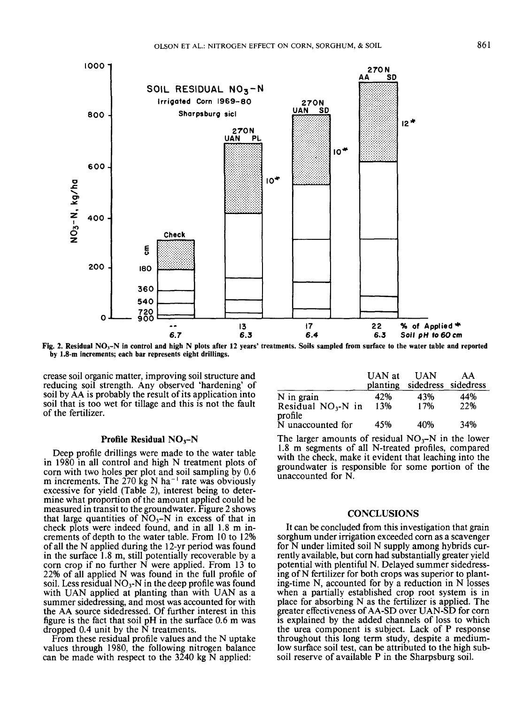

**Fig. 2. Residual NO,-N in control and high N plots after 12 years' treatments. Soils sampled from surface to the water table and reported by 1.8-m increments; each bar represents eight drillings.** 

crease soil organic matter, improving soil structure and reducing soil strength. Any observed 'hardening' of soil by AA is probably the result of its application into soil that is too wet for tillage and this is not the fault of the fertilizer.

#### **Profile Residual NO<sub>3</sub>-N**

Deep profile drillings were made to the water table in 1980 in all control and high N treatment plots of corn with two holes per plot and soil sampling by 0.6 m increments. The 270 kg N ha<sup>-1</sup> rate was obviously excessive for yield (Table 2), interest being to determine what proportion of the amount applied could be measured in transit to the groundwater. Figure 2 shows that large quantities of  $NO_3-N$  in excess of that in check plots were indeed found, and in all **1.8** m increments of depth to the water table. From 10 to **12%**  of all the N applied during the 12-yr period was found in the surface **1.8** m, still potentially recoverable by a corn crop if no further N were applied. From 13 to **22%** of all applied N was found in the full profile of soil. Less residual  $NO<sub>3</sub>$ -N in the deep profile was found with UAN applied at planting than with UAN as a summer sidedressing, and most was accounted for with the AA source sidedressed. Of further interest in this figure is the fact that soil pH in the surface 0.6 m was dropped 0.4 unit by the N treatments.

From these residual profile values and the N uptake values through 1980, the following nitrogen balance can be made with respect to the 3240 kg N applied:

|                                 | UAN at   | <b>UAN</b>          | AA  |
|---------------------------------|----------|---------------------|-----|
|                                 | planting | sidedress sidedress |     |
| N in grain                      | 42%      | 43%                 | 44% |
| Residual $NO3$ -N in<br>profile | 13%      | 17%                 | 22% |
| N unaccounted for               | 45%      | 40%                 | 34% |

The larger amounts of residual  $NO_3-N$  in the lower 1.8 m segments of all N-treated profiles, compared with the check, make it evident that leaching into the groundwater is responsible for some portion of the unaccounted for N.

## **CONCLUSIONS**

It can be concluded from this investigation that grain sorghum under irrigation exceeded corn as a scavenger for N under limited soil N supply among hybrids currently available, but corn had substantially greater yield potential with plentiful N. Delayed summer sidedressing of N fertilizer for both crops was superior to planting-time N, accounted for by a reduction in N losses when a partially established crop root system is in place for absorbing N as the fertilizer is applied. The greater effectiveness of AA-SD over UAN-SD for corn is explained by the added channels of loss to which the urea component is subject. Lack of P response throughout this long term study, despite a mediumlow surface soil test, can be attributed to the high subsoil reserve of available P in the Sharpsburg soil.